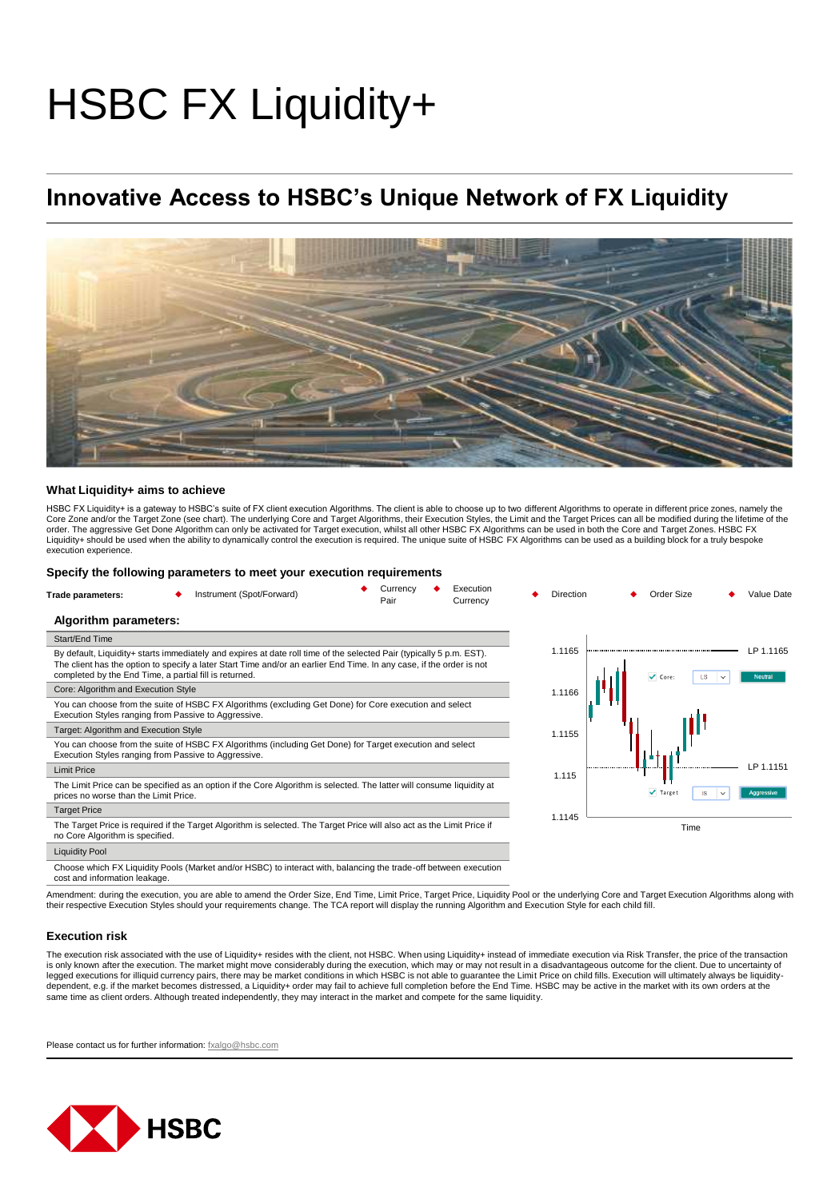# HSBC FX Liquidity+

## **Innovative Access to HSBC's Unique Network of FX Liquidity**



#### **What Liquidity+ aims to achieve**

HSBC FX Liquidity+ is a gateway to HSBC's suite of FX client execution Algorithms. The client is able to choose up to two different Algorithms to operate in different price zones, namely the Core Zone and/or the Target Zone (see chart). The underlying Core and Target Algorithms, their Execution Styles, the Limit and the Target Prices can all be modified during the lifetime of the<br>order. The aggressive Get Done execution experience

#### **Specify the following parameters to meet your execution requirements**

| Trade parameters:                                                                                                                                         | Instrument (Spot/Forward)                                                                                                                                                                                                                                                                              | Currency<br>Execution<br>Pair<br>Currency | Direction                                          | Order Size<br>Value Date                           |
|-----------------------------------------------------------------------------------------------------------------------------------------------------------|--------------------------------------------------------------------------------------------------------------------------------------------------------------------------------------------------------------------------------------------------------------------------------------------------------|-------------------------------------------|----------------------------------------------------|----------------------------------------------------|
| Algorithm parameters:                                                                                                                                     |                                                                                                                                                                                                                                                                                                        |                                           |                                                    |                                                    |
| Start/End Time                                                                                                                                            |                                                                                                                                                                                                                                                                                                        |                                           |                                                    |                                                    |
|                                                                                                                                                           | By default, Liquidity+ starts immediately and expires at date roll time of the selected Pair (typically 5 p.m. EST).<br>The client has the option to specify a later Start Time and/or an earlier End Time. In any case, if the order is not<br>completed by the End Time, a partial fill is returned. |                                           | 1.1165                                             | LP 1.1165<br>$\vee$ Core:<br>LS.<br><b>Neutral</b> |
| Core: Algorithm and Execution Style                                                                                                                       |                                                                                                                                                                                                                                                                                                        | 1.1166                                    |                                                    |                                                    |
|                                                                                                                                                           | You can choose from the suite of HSBC FX Algorithms (excluding Get Done) for Core execution and select<br>Execution Styles ranging from Passive to Aggressive.                                                                                                                                         |                                           |                                                    |                                                    |
| Target: Algorithm and Execution Style                                                                                                                     |                                                                                                                                                                                                                                                                                                        |                                           | 1.1155                                             |                                                    |
|                                                                                                                                                           | You can choose from the suite of HSBC FX Algorithms (including Get Done) for Target execution and select<br>Execution Styles ranging from Passive to Aggressive.                                                                                                                                       |                                           |                                                    |                                                    |
| <b>Limit Price</b>                                                                                                                                        |                                                                                                                                                                                                                                                                                                        |                                           | 1.115                                              | LP 1.1151                                          |
| prices no worse than the Limit Price.                                                                                                                     | The Limit Price can be specified as an option if the Core Algorithm is selected. The latter will consume liquidity at                                                                                                                                                                                  |                                           | $\sqrt{}$ Target<br><b>IS</b><br><b>Aggressive</b> |                                                    |
| <b>Target Price</b>                                                                                                                                       |                                                                                                                                                                                                                                                                                                        |                                           | 1.1145                                             |                                                    |
| The Target Price is required if the Target Algorithm is selected. The Target Price will also act as the Limit Price if<br>no Core Algorithm is specified. |                                                                                                                                                                                                                                                                                                        |                                           |                                                    | Time                                               |
| <b>Liquidity Pool</b>                                                                                                                                     |                                                                                                                                                                                                                                                                                                        |                                           |                                                    |                                                    |
| cost and information leakage.                                                                                                                             | Choose which FX Liquidity Pools (Market and/or HSBC) to interact with, balancing the trade-off between execution                                                                                                                                                                                       |                                           |                                                    |                                                    |

Amendment: during the execution, you are able to amend the Order Size, End Time, Limit Price, Target Price, Liquidity Pool or the underlying Core and Target Execution Algorithms along with their respective Execution Styles should your requirements change. The TCA report will display the running Algorithm and Execution Style for each child fill.

#### **Execution risk**

The execution risk associated with the use of Liquidity+ resides with the client, not HSBC. When using Liquidity+ instead of immediate execution via Risk Transfer, the price of the transaction is only known after the execution. The market might move considerably during the execution, which may or may not result in a disadvantageous outcome for the client. Due to uncertainty of legged executions for illiquid currency pairs, there may be market conditions in which HSBC is not able to guarantee the Limit Price on child fills. Execution will ultimately always be liquiditydependent, e.g. if the market becomes distressed, a Liquidity+ order may fail to achieve full completion before the End Time. HSBC may be active in the market with its own orders at the same time as client orders. Although treated independently, they may interact in the market and compete for the same liquidity.

Please contact us for further information: [fxalgo@hsbc.com](mailto:fxalgo@hsbc.com)